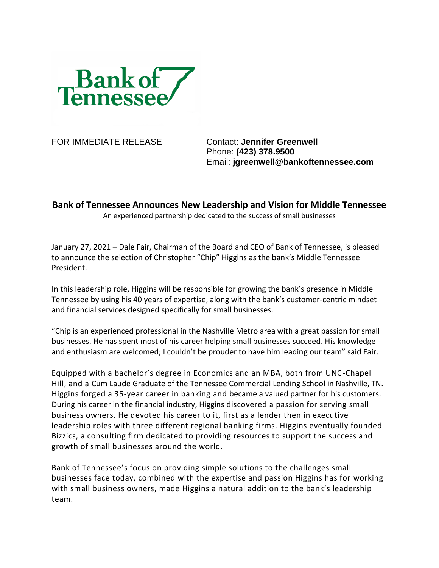

FOR IMMEDIATE RELEASE Contact: **Jennifer Greenwell** Phone: **(423) 378.9500** Email: **jgreenwell@bankoftennessee.com**

**Bank of Tennessee Announces New Leadership and Vision for Middle Tennessee**

An experienced partnership dedicated to the success of small businesses

January 27, 2021 – Dale Fair, Chairman of the Board and CEO of Bank of Tennessee, is pleased to announce the selection of Christopher "Chip" Higgins as the bank's Middle Tennessee President.

In this leadership role, Higgins will be responsible for growing the bank's presence in Middle Tennessee by using his 40 years of expertise, along with the bank's customer-centric mindset and financial services designed specifically for small businesses.

"Chip is an experienced professional in the Nashville Metro area with a great passion for small businesses. He has spent most of his career helping small businesses succeed. His knowledge and enthusiasm are welcomed; I couldn't be prouder to have him leading our team" said Fair.

Equipped with a bachelor's degree in Economics and an MBA, both from UNC-Chapel Hill, and a Cum Laude Graduate of the Tennessee Commercial Lending School in Nashville, TN. Higgins forged a 35-year career in banking and became a valued partner for his customers. During his career in the financial industry, Higgins discovered a passion for serving small business owners. He devoted his career to it, first as a lender then in executive leadership roles with three different regional banking firms. Higgins eventually founded Bizzics, a consulting firm dedicated to providing resources to support the success and growth of small businesses around the world.

Bank of Tennessee's focus on providing simple solutions to the challenges small businesses face today, combined with the expertise and passion Higgins has for working with small business owners, made Higgins a natural addition to the bank's leadership team.